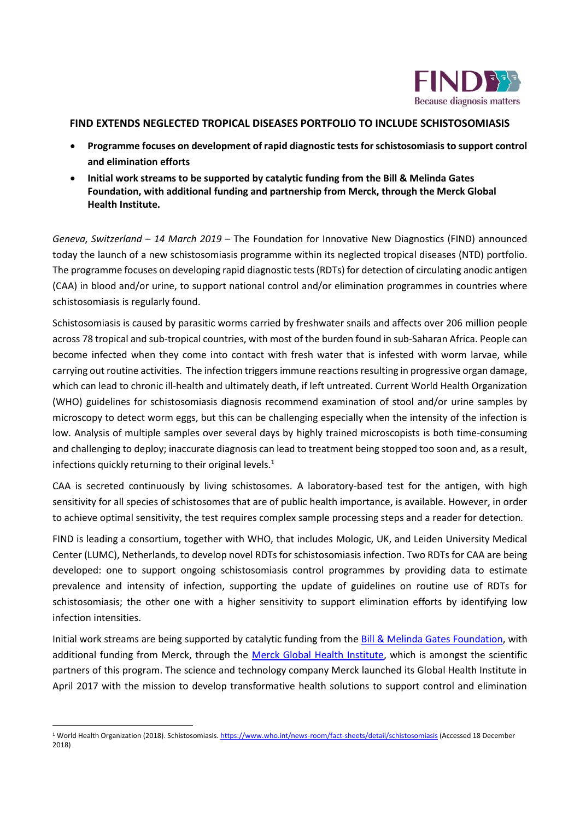

## **FIND EXTENDS NEGLECTED TROPICAL DISEASES PORTFOLIO TO INCLUDE SCHISTOSOMIASIS**

- **Programme focuses on development of rapid diagnostic tests forschistosomiasis to support control and elimination efforts**
- **Initial work streams to be supported by catalytic funding from the Bill & Melinda Gates Foundation, with additional funding and partnership from Merck, through the Merck Global Health Institute.**

*Geneva, Switzerland* – *14 March 2019* – The Foundation for Innovative New Diagnostics (FIND) announced today the launch of a new schistosomiasis programme within its neglected tropical diseases (NTD) portfolio. The programme focuses on developing rapid diagnostic tests (RDTs) for detection of circulating anodic antigen (CAA) in blood and/or urine, to support national control and/or elimination programmes in countries where schistosomiasis is regularly found.

Schistosomiasis is caused by parasitic worms carried by freshwater snails and affects over 206 million people across 78 tropical and sub-tropical countries, with most of the burden found in sub-Saharan Africa. People can become infected when they come into contact with fresh water that is infested with worm larvae, while carrying out routine activities. The infection triggers immune reactions resulting in progressive organ damage, which can lead to chronic ill-health and ultimately death, if left untreated. Current World Health Organization (WHO) guidelines for schistosomiasis diagnosis recommend examination of stool and/or urine samples by microscopy to detect worm eggs, but this can be challenging especially when the intensity of the infection is low. Analysis of multiple samples over several days by highly trained microscopists is both time-consuming and challenging to deploy; inaccurate diagnosis can lead to treatment being stopped too soon and, as a result, infections quickly returning to their original levels. 1

CAA is secreted continuously by living schistosomes. A laboratory-based test for the antigen, with high sensitivity for all species of schistosomes that are of public health importance, is available. However, in order to achieve optimal sensitivity, the test requires complex sample processing steps and a reader for detection.

FIND is leading a consortium, together with WHO, that includes Mologic, UK, and Leiden University Medical Center (LUMC), Netherlands, to develop novel RDTs for schistosomiasis infection. Two RDTs for CAA are being developed: one to support ongoing schistosomiasis control programmes by providing data to estimate prevalence and intensity of infection, supporting the update of guidelines on routine use of RDTs for schistosomiasis; the other one with a higher sensitivity to support elimination efforts by identifying low infection intensities.

Initial work streams are being supported by catalytic funding from th[e Bill & Melinda Gates Foundation,](https://www.gatesfoundation.org/) with additional funding from Merck, through the [Merck Global Health Institute,](http://www.merckglobalhealthinstitute.com/) which is amongst the scientific partners of this program. The science and technology company Merck launched its Global Health Institute in April 2017 with the mission to develop transformative health solutions to support control and elimination

1

<sup>&</sup>lt;sup>1</sup> World Health Organization (2018). Schistosomiasis[. https://www.who.int/news-room/fact-sheets/detail/schistosomiasis](https://www.who.int/news-room/fact-sheets/detail/schistosomiasis) (Accessed 18 December 2018)